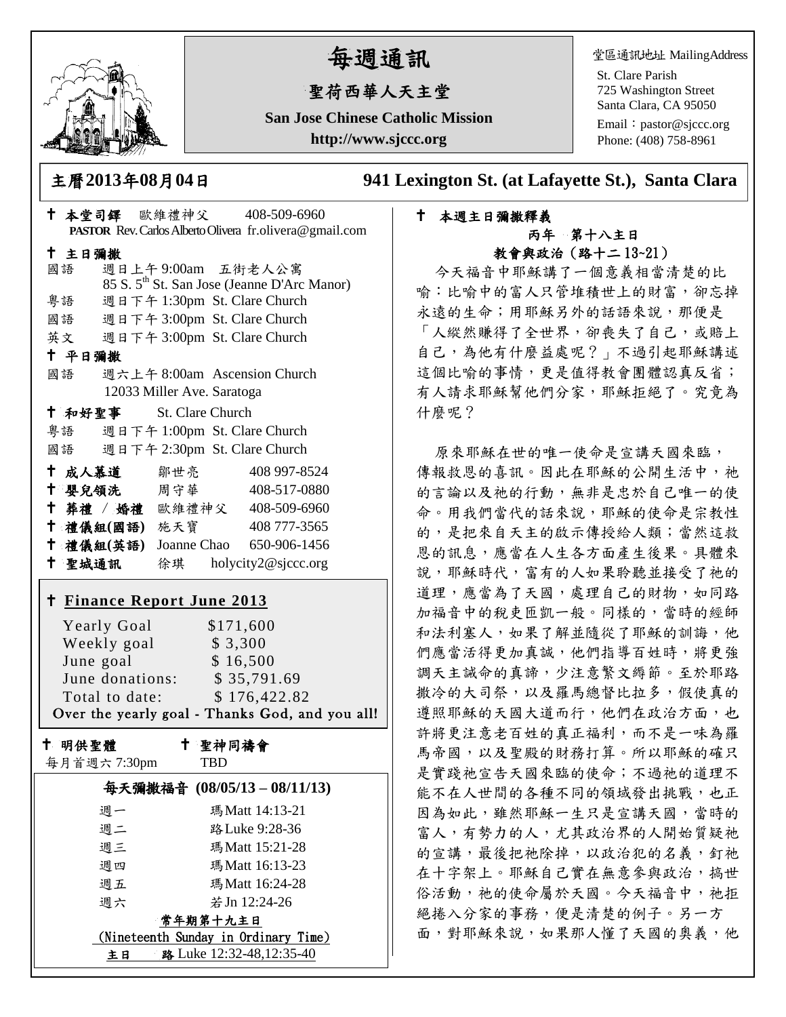

# 每週通訊

## 聖荷西華人天主堂

**San Jose Chinese Catholic Mission http://www.sjccc.org**

堂區通訊地址 MailingAddress

St. Clare Parish 725 Washington Street Santa Clara, CA 95050

Email: [pastor@sjccc.org](mailto:pastor@sjccc.org) Phone: (408) 758-8961

主曆**2013**年**08**月**04**日 **941 Lexington St. (at Lafayette St.), Santa Clara** 

### 本堂司鐸 歐維禮神父 408-509-6960 **PASTOR** Rev. Carlos Alberto Olivera fr.olivera@gmail.com 主日彌撒 國語 週日上午 9:00am 五街老人公寓 85 S. 5th St. San Jose (Jeanne D'Arc Manor) 粵語 週日下午 1:30pm St. Clare Church 國語 週日下午 3:00pm St. Clare Church 英文 週日下午 3:00pm St. Clare Church 平日彌撒 國語 週六上午 8:00am Ascension Church 12033 Miller Ave. Saratoga 和好聖事 St. Clare Church 粵語 週日下午 1:00pm St. Clare Church 國語 週日下午 2:30pm St. Clare Church 十成人慕道 鄒世亮 408 997-8524 十 嬰兒領洗 周守華 408-517-0880 葬禮 / 婚禮 歐維禮神父 408-509-6960 禮儀組**(**國語**)** 施天寶 408 777-3565 禮儀組**(**英語**)** Joanne Chao 650-906-1456 聖城通訊 徐琪 holycity2@sjccc.org **Finance [Report June 2013](http://sjccc.org/index.php/finance.html?src=bulletin112512)** Yearly Goal  $$171,600$ Weekly goal \$3,300 June goal \$ 16,500 June donations: \$ 35,791.69

Total to date: \$176,422.82 Over the yearly goal - Thanks God, and you all!

十 明供聖體

聖神同禱會

| 每月首週六7:30pm |  |
|-------------|--|
|-------------|--|

TBD

| 每天彌撒福音 (08/05/13-08/11/13)           |                          |  |
|--------------------------------------|--------------------------|--|
| 週一                                   | 瑪Matt 14:13-21           |  |
| 週二                                   | 路 Luke 9:28-36           |  |
| 週三                                   | 瑪Matt 15:21-28           |  |
| 週四                                   | 瑪 Matt 16:13-23          |  |
| 週五                                   | 瑪Matt 16:24-28           |  |
| 调六                                   | 若 Jn 12:24-26            |  |
| 常年期第十九主日                             |                          |  |
| (Nineteenth Sunday in Ordinary Time) |                          |  |
| 主日                                   | 路 Luke 12:32-48,12:35-40 |  |

#### 本週主日彌撒釋義 丙年 第十八主日 教會與政治(路十二 13~21)

今天福音中耶穌講了一個意義相當清楚的比 喻:比喻中的富人只管堆積世上的財富,卻忘掉 永遠的生命;用耶穌另外的話語來說,那便是 「人縱然賺得了全世界,卻喪失了自己,或賠上 自己,為他有什麼益處呢?」不過引起耶穌講述 這個比喻的事情,更是值得教會團體認真反省; 有人請求耶穌幫他們分家,耶穌拒絕了。究竟為 什麼呢?

原來耶穌在世的唯一使命是宣講天國來臨, 傳報救恩的喜訊。因此在耶穌的公開生活中,祂 的言論以及祂的行動,無非是忠於自己唯一的使 命。用我們當代的話來說,耶穌的使命是宗教性 的,是把來自天主的啟示傳授給人類;當然這救 恩的訊息,應當在人生各方面產生後果。具體來 說,耶穌時代,富有的人如果聆聽並接受了祂的 道理,應當為了天國,處理自己的財物,如同路 加福音中的稅吏匝凱一般。同樣的,當時的經師 和法利塞人,如果了解並隨從了耶穌的訓誨,他 們應當活得更加真誠,他們指導百姓時,將更強 調天主誡命的真諦,少注意繁文縟節。至於耶路 撒冷的大司祭,以及羅馬總督比拉多,假使真的 遵照耶穌的天國大道而行,他們在政治方面,也 許將更注意老百姓的真正福利,而不是一味為羅 馬帝國,以及聖殿的財務打算。所以耶穌的確只 是實踐祂宣告天國來臨的使命;不過祂的道理不 能不在人世間的各種不同的領域發出挑戰,也正 因為如此,雖然耶穌一生只是宣講天國,當時的 富人,有勢力的人,尤其政治界的人開始質疑祂 的宣講,最後把祂除掉,以政治犯的名義,釘祂 在十字架上。耶穌自己實在無意參與政治,搞世 俗活動,祂的使命屬於天國。今天福音中,祂拒 絕捲入分家的事務,便是清楚的例子。另一方 面,對耶穌來說,如果那人懂了天國的奧義,他